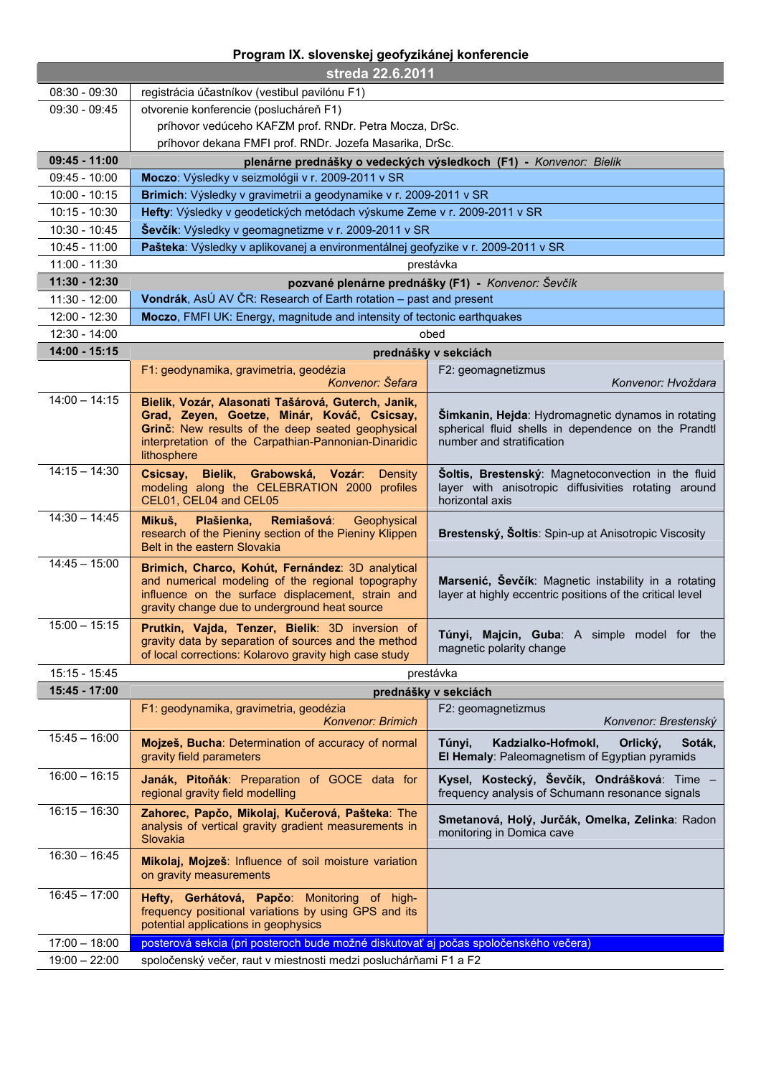## **Program IX. slovenskej geofyzikánej konferencie**

| streda 22.6.2011 |                                                                                                          |                                                                                                                  |  |
|------------------|----------------------------------------------------------------------------------------------------------|------------------------------------------------------------------------------------------------------------------|--|
| $08:30 - 09:30$  | registrácia účastníkov (vestibul pavilónu F1)                                                            |                                                                                                                  |  |
| $09:30 - 09:45$  | otvorenie konferencie (poslucháreň F1)                                                                   |                                                                                                                  |  |
|                  | príhovor vedúceho KAFZM prof. RNDr. Petra Mocza, DrSc.                                                   |                                                                                                                  |  |
|                  | príhovor dekana FMFI prof. RNDr. Jozefa Masarika, DrSc.                                                  |                                                                                                                  |  |
| $09:45 - 11:00$  | plenárne prednášky o vedeckých výsledkoch (F1) - Konvenor: Bielik                                        |                                                                                                                  |  |
| $09:45 - 10:00$  | Moczo: Výsledky v seizmológii v r. 2009-2011 v SR                                                        |                                                                                                                  |  |
| $10:00 - 10:15$  | Brimich: Výsledky v gravimetrii a geodynamike v r. 2009-2011 v SR                                        |                                                                                                                  |  |
| $10:15 - 10:30$  | Hefty: Výsledky v geodetických metódach výskume Zeme v r. 2009-2011 v SR                                 |                                                                                                                  |  |
| 10:30 - 10:45    | Ševčík: Výsledky v geomagnetizme v r. 2009-2011 v SR                                                     |                                                                                                                  |  |
| $10:45 - 11:00$  | Pašteka: Výsledky v aplikovanej a environmentálnej geofyzike v r. 2009-2011 v SR                         |                                                                                                                  |  |
| 11:00 - 11:30    |                                                                                                          | prestávka                                                                                                        |  |
| 11:30 - 12:30    | pozvané plenárne prednášky (F1) - Konvenor: Ševčík                                                       |                                                                                                                  |  |
| $11:30 - 12:00$  | Vondrák, AsÚ AV ČR: Research of Earth rotation – past and present                                        |                                                                                                                  |  |
| 12:00 - 12:30    | Moczo, FMFI UK: Energy, magnitude and intensity of tectonic earthquakes                                  |                                                                                                                  |  |
| 12:30 - 14:00    | obed                                                                                                     |                                                                                                                  |  |
| 14:00 - 15:15    | prednášky v sekciách                                                                                     |                                                                                                                  |  |
|                  | F1: geodynamika, gravimetria, geodézia                                                                   | F2: geomagnetizmus                                                                                               |  |
|                  | Konvenor: Šefara                                                                                         | Konvenor: Hvoždara                                                                                               |  |
| $14:00 - 14:15$  | Bielik, Vozár, Alasonati Tašárová, Guterch, Janik,                                                       |                                                                                                                  |  |
|                  | Grad, Zeyen, Goetze, Minár, Kováč, Csicsay,<br>Grinč: New results of the deep seated geophysical         | <b>Šimkanin, Hejda: Hydromagnetic dynamos in rotating</b><br>spherical fluid shells in dependence on the Prandtl |  |
|                  | interpretation of the Carpathian-Pannonian-Dinaridic                                                     | number and stratification                                                                                        |  |
|                  | lithosphere                                                                                              |                                                                                                                  |  |
| $14:15 - 14:30$  | Csicsay, Bielik, Grabowská, Vozár: Density                                                               | Soltis, Brestenský: Magnetoconvection in the fluid                                                               |  |
|                  | modeling along the CELEBRATION 2000 profiles<br>CEL01, CEL04 and CEL05                                   | layer with anisotropic diffusivities rotating around<br>horizontal axis                                          |  |
| $14:30 - 14:45$  |                                                                                                          |                                                                                                                  |  |
|                  | Remiašová: Geophysical<br>Mikuš,<br>Plašienka,<br>research of the Pieniny section of the Pieniny Klippen | Brestenský, Šoltis: Spin-up at Anisotropic Viscosity                                                             |  |
|                  | Belt in the eastern Slovakia                                                                             |                                                                                                                  |  |
| $14:45 - 15:00$  | Brimich, Charco, Kohút, Fernández: 3D analytical                                                         |                                                                                                                  |  |
|                  | and numerical modeling of the regional topography                                                        | Marsenić, Ševčík: Magnetic instability in a rotating                                                             |  |
|                  | influence on the surface displacement, strain and<br>gravity change due to underground heat source       | layer at highly eccentric positions of the critical level                                                        |  |
| $15:00 - 15:15$  |                                                                                                          |                                                                                                                  |  |
|                  | Prutkin, Vajda, Tenzer, Bielik: 3D inversion of<br>gravity data by separation of sources and the method  | Túnyi, Majcin, Guba: A simple model for the                                                                      |  |
|                  | of local corrections: Kolarovo gravity high case study                                                   | magnetic polarity change                                                                                         |  |
| 15:15 - 15:45    |                                                                                                          | prestávka                                                                                                        |  |
| 15:45 - 17:00    |                                                                                                          | prednášky v sekciách                                                                                             |  |
|                  | F1: geodynamika, gravimetria, geodézia                                                                   | F2: geomagnetizmus                                                                                               |  |
|                  | <b>Konvenor: Brimich</b>                                                                                 | Konvenor: Brestenský                                                                                             |  |
| $15:45 - 16:00$  | Mojzeš, Bucha: Determination of accuracy of normal                                                       | Túnyi,<br>Kadzialko-Hofmokl,<br>Orlický,<br>Soták,                                                               |  |
|                  | gravity field parameters                                                                                 | El Hemaly: Paleomagnetism of Egyptian pyramids                                                                   |  |
| $16:00 - 16:15$  | Janák, Pitoňák: Preparation of GOCE data for                                                             | Kysel, Kostecký, Ševčík, Ondrášková: Time -                                                                      |  |
|                  | regional gravity field modelling                                                                         | frequency analysis of Schumann resonance signals                                                                 |  |
| $16:15 - 16:30$  | Zahorec, Papčo, Mikolaj, Kučerová, Pašteka: The                                                          | Smetanová, Holý, Jurčák, Omelka, Zelinka: Radon                                                                  |  |
|                  | analysis of vertical gravity gradient measurements in                                                    | monitoring in Domica cave                                                                                        |  |
| $16:30 - 16:45$  | Slovakia                                                                                                 |                                                                                                                  |  |
|                  | Mikolaj, Mojzeš: Influence of soil moisture variation                                                    |                                                                                                                  |  |
|                  | on gravity measurements                                                                                  |                                                                                                                  |  |
| $16:45 - 17:00$  | Hefty, Gerhátová, Papčo: Monitoring of high-                                                             |                                                                                                                  |  |
|                  | frequency positional variations by using GPS and its<br>potential applications in geophysics             |                                                                                                                  |  |
|                  |                                                                                                          |                                                                                                                  |  |
| $17:00 - 18:00$  | posterová sekcia (pri posteroch bude možné diskutovať aj počas spoločenského večera)                     |                                                                                                                  |  |
| $19:00 - 22:00$  | spoločenský večer, raut v miestnosti medzi posluchárňami F1 a F2                                         |                                                                                                                  |  |